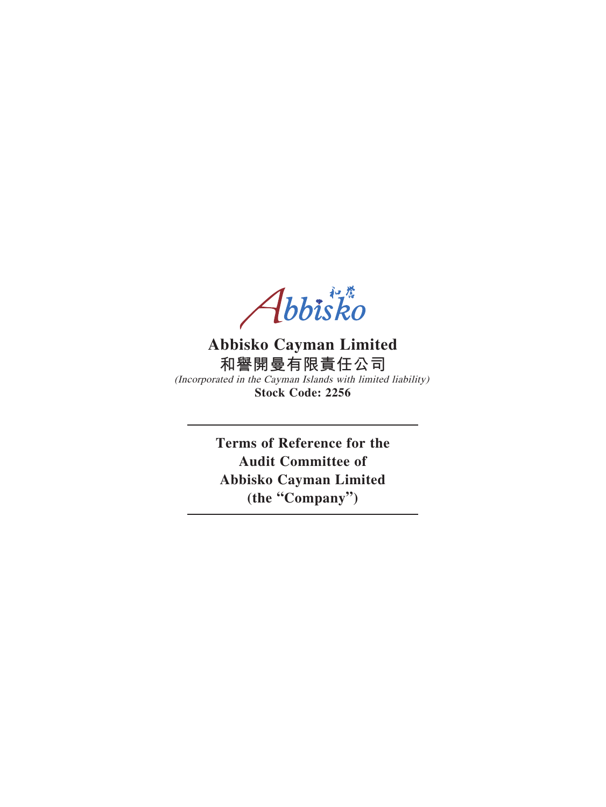Abbisko

# **Abbisko Cayman Limited 和譽開曼有限責任公司**

(Incorporated in the Cayman Islands with limited liability) **Stock Code: 2256**

> **Terms of Reference for the Audit Committee of Abbisko Cayman Limited (the "Company")**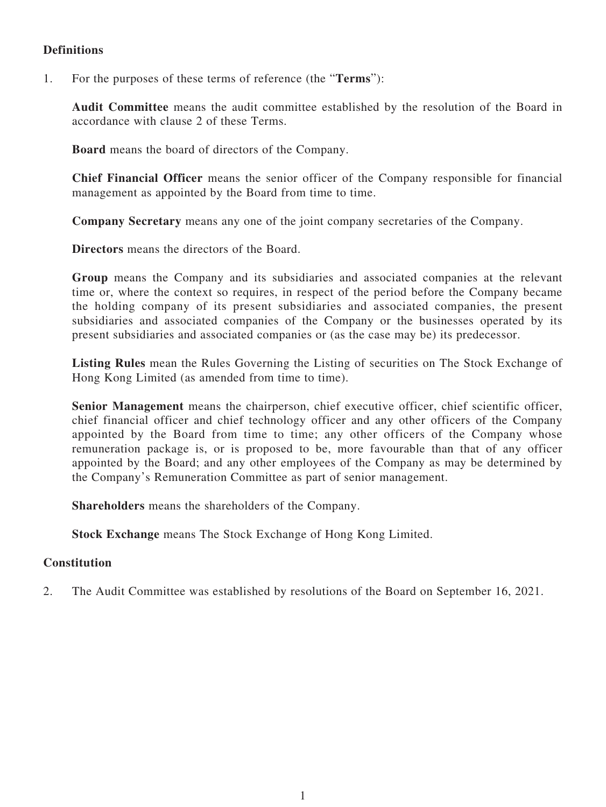## **Definitions**

1. For the purposes of these terms of reference (the "**Terms**"):

**Audit Committee** means the audit committee established by the resolution of the Board in accordance with clause 2 of these Terms.

**Board** means the board of directors of the Company.

**Chief Financial Officer** means the senior officer of the Company responsible for financial management as appointed by the Board from time to time.

**Company Secretary** means any one of the joint company secretaries of the Company.

**Directors** means the directors of the Board.

**Group** means the Company and its subsidiaries and associated companies at the relevant time or, where the context so requires, in respect of the period before the Company became the holding company of its present subsidiaries and associated companies, the present subsidiaries and associated companies of the Company or the businesses operated by its present subsidiaries and associated companies or (as the case may be) its predecessor.

**Listing Rules** mean the Rules Governing the Listing of securities on The Stock Exchange of Hong Kong Limited (as amended from time to time).

**Senior Management** means the chairperson, chief executive officer, chief scientific officer, chief financial officer and chief technology officer and any other officers of the Company appointed by the Board from time to time; any other officers of the Company whose remuneration package is, or is proposed to be, more favourable than that of any officer appointed by the Board; and any other employees of the Company as may be determined by the Company's Remuneration Committee as part of senior management.

**Shareholders** means the shareholders of the Company.

**Stock Exchange** means The Stock Exchange of Hong Kong Limited.

#### **Constitution**

2. The Audit Committee was established by resolutions of the Board on September 16, 2021.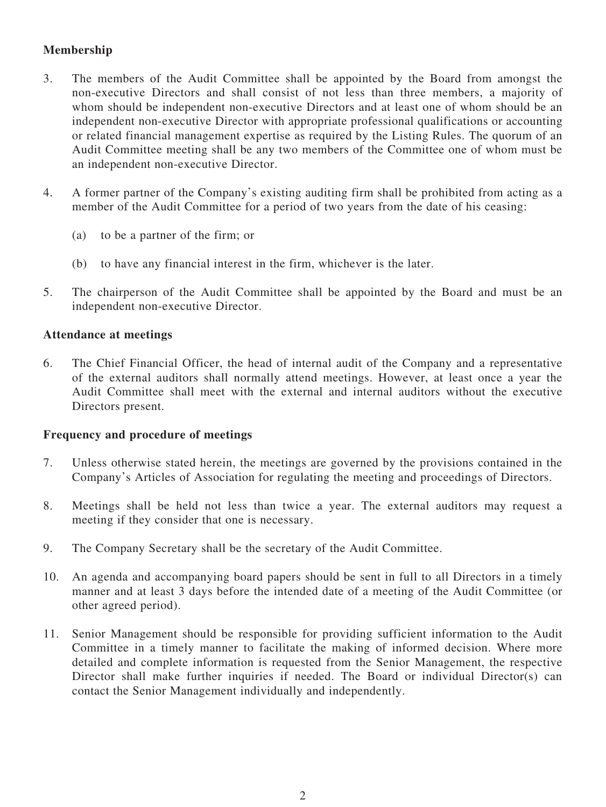## **Membership**

- 3. The members of the Audit Committee shall be appointed by the Board from amongst the non-executive Directors and shall consist of not less than three members, a majority of whom should be independent non-executive Directors and at least one of whom should be an independent non-executive Director with appropriate professional qualifications or accounting or related financial management expertise as required by the Listing Rules. The quorum of an Audit Committee meeting shall be any two members of the Committee one of whom must be an independent non-executive Director.
- 4. A former partner of the Company's existing auditing firm shall be prohibited from acting as a member of the Audit Committee for a period of two years from the date of his ceasing:
	- (a) to be a partner of the firm; or
	- (b) to have any financial interest in the firm, whichever is the later.
- 5. The chairperson of the Audit Committee shall be appointed by the Board and must be an independent non-executive Director.

#### **Attendance at meetings**

6. The Chief Financial Officer, the head of internal audit of the Company and a representative of the external auditors shall normally attend meetings. However, at least once a year the Audit Committee shall meet with the external and internal auditors without the executive Directors present.

#### **Frequency and procedure of meetings**

- 7. Unless otherwise stated herein, the meetings are governed by the provisions contained in the Company's Articles of Association for regulating the meeting and proceedings of Directors.
- 8. Meetings shall be held not less than twice a year. The external auditors may request a meeting if they consider that one is necessary.
- 9. The Company Secretary shall be the secretary of the Audit Committee.
- 10. An agenda and accompanying board papers should be sent in full to all Directors in a timely manner and at least 3 days before the intended date of a meeting of the Audit Committee (or other agreed period).
- 11. Senior Management should be responsible for providing sufficient information to the Audit Committee in a timely manner to facilitate the making of informed decision. Where more detailed and complete information is requested from the Senior Management, the respective Director shall make further inquiries if needed. The Board or individual Director(s) can contact the Senior Management individually and independently.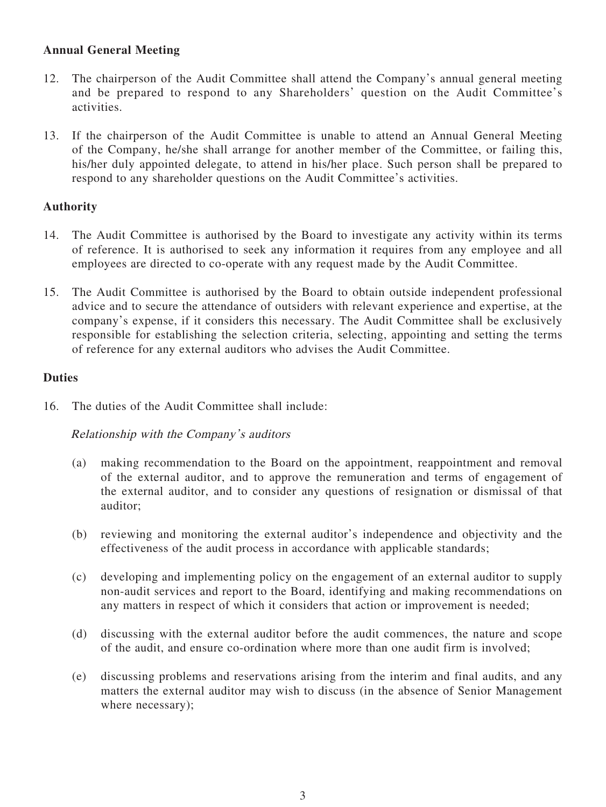## **Annual General Meeting**

- 12. The chairperson of the Audit Committee shall attend the Company's annual general meeting and be prepared to respond to any Shareholders' question on the Audit Committee's activities.
- 13. If the chairperson of the Audit Committee is unable to attend an Annual General Meeting of the Company, he/she shall arrange for another member of the Committee, or failing this, his/her duly appointed delegate, to attend in his/her place. Such person shall be prepared to respond to any shareholder questions on the Audit Committee's activities.

### **Authority**

- 14. The Audit Committee is authorised by the Board to investigate any activity within its terms of reference. It is authorised to seek any information it requires from any employee and all employees are directed to co-operate with any request made by the Audit Committee.
- 15. The Audit Committee is authorised by the Board to obtain outside independent professional advice and to secure the attendance of outsiders with relevant experience and expertise, at the company's expense, if it considers this necessary. The Audit Committee shall be exclusively responsible for establishing the selection criteria, selecting, appointing and setting the terms of reference for any external auditors who advises the Audit Committee.

#### **Duties**

16. The duties of the Audit Committee shall include:

### Relationship with the Company's auditors

- (a) making recommendation to the Board on the appointment, reappointment and removal of the external auditor, and to approve the remuneration and terms of engagement of the external auditor, and to consider any questions of resignation or dismissal of that auditor;
- (b) reviewing and monitoring the external auditor's independence and objectivity and the effectiveness of the audit process in accordance with applicable standards;
- (c) developing and implementing policy on the engagement of an external auditor to supply non-audit services and report to the Board, identifying and making recommendations on any matters in respect of which it considers that action or improvement is needed;
- (d) discussing with the external auditor before the audit commences, the nature and scope of the audit, and ensure co-ordination where more than one audit firm is involved;
- (e) discussing problems and reservations arising from the interim and final audits, and any matters the external auditor may wish to discuss (in the absence of Senior Management where necessary);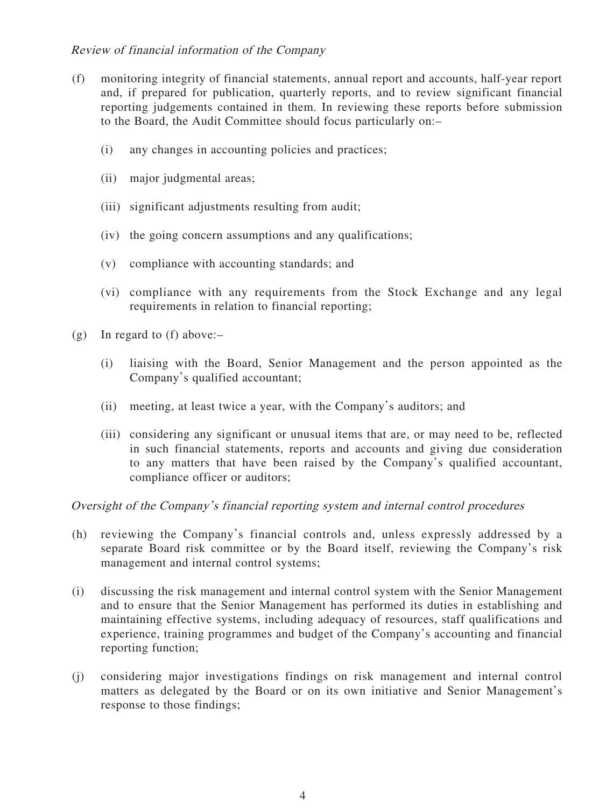### Review of financial information of the Company

- (f) monitoring integrity of financial statements, annual report and accounts, half-year report and, if prepared for publication, quarterly reports, and to review significant financial reporting judgements contained in them. In reviewing these reports before submission to the Board, the Audit Committee should focus particularly on:–
	- (i) any changes in accounting policies and practices;
	- (ii) major judgmental areas;
	- (iii) significant adjustments resulting from audit;
	- (iv) the going concern assumptions and any qualifications;
	- (v) compliance with accounting standards; and
	- (vi) compliance with any requirements from the Stock Exchange and any legal requirements in relation to financial reporting;
- (g) In regard to (f) above:–
	- (i) liaising with the Board, Senior Management and the person appointed as the Company's qualified accountant;
	- (ii) meeting, at least twice a year, with the Company's auditors; and
	- (iii) considering any significant or unusual items that are, or may need to be, reflected in such financial statements, reports and accounts and giving due consideration to any matters that have been raised by the Company's qualified accountant, compliance officer or auditors;

Oversight of the Company's financial reporting system and internal control procedures

- (h) reviewing the Company's financial controls and, unless expressly addressed by a separate Board risk committee or by the Board itself, reviewing the Company's risk management and internal control systems;
- (i) discussing the risk management and internal control system with the Senior Management and to ensure that the Senior Management has performed its duties in establishing and maintaining effective systems, including adequacy of resources, staff qualifications and experience, training programmes and budget of the Company's accounting and financial reporting function;
- (j) considering major investigations findings on risk management and internal control matters as delegated by the Board or on its own initiative and Senior Management's response to those findings;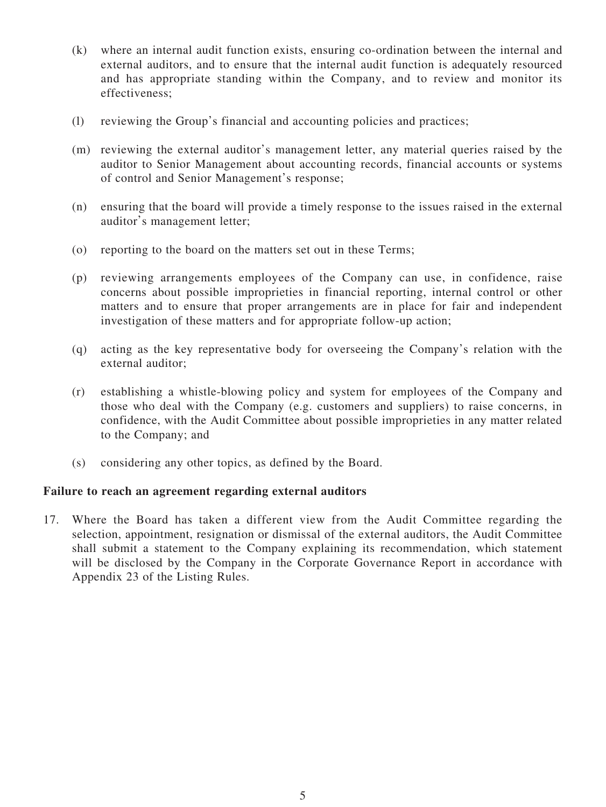- (k) where an internal audit function exists, ensuring co-ordination between the internal and external auditors, and to ensure that the internal audit function is adequately resourced and has appropriate standing within the Company, and to review and monitor its effectiveness;
- (l) reviewing the Group's financial and accounting policies and practices;
- (m) reviewing the external auditor's management letter, any material queries raised by the auditor to Senior Management about accounting records, financial accounts or systems of control and Senior Management's response;
- (n) ensuring that the board will provide a timely response to the issues raised in the external auditor's management letter;
- (o) reporting to the board on the matters set out in these Terms;
- (p) reviewing arrangements employees of the Company can use, in confidence, raise concerns about possible improprieties in financial reporting, internal control or other matters and to ensure that proper arrangements are in place for fair and independent investigation of these matters and for appropriate follow-up action;
- (q) acting as the key representative body for overseeing the Company's relation with the external auditor;
- (r) establishing a whistle-blowing policy and system for employees of the Company and those who deal with the Company (e.g. customers and suppliers) to raise concerns, in confidence, with the Audit Committee about possible improprieties in any matter related to the Company; and
- (s) considering any other topics, as defined by the Board.

#### **Failure to reach an agreement regarding external auditors**

17. Where the Board has taken a different view from the Audit Committee regarding the selection, appointment, resignation or dismissal of the external auditors, the Audit Committee shall submit a statement to the Company explaining its recommendation, which statement will be disclosed by the Company in the Corporate Governance Report in accordance with Appendix 23 of the Listing Rules.